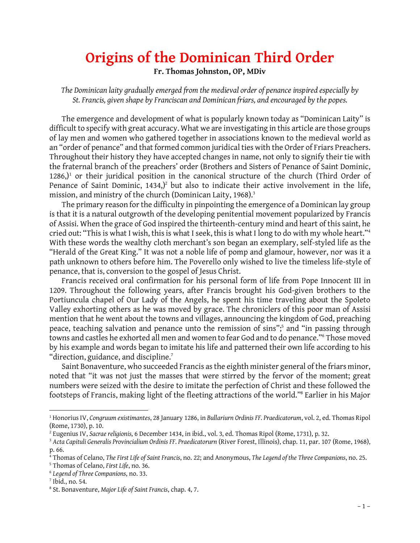# **Origins of the Dominican Third Order**

**Fr. Thomas Johnston, OP, MDiv**

*The Dominican laity gradually emerged from the medieval order of penance inspired especially by St. Francis, given shape by Franciscan and Dominican friars, and encouraged by the popes.*

The emergence and development of what is popularly known today as "Dominican Laity" is difficult to specify with great accuracy. What we are investigating in this article are those groups of lay men and women who gathered together in associations known to the medieval world as an "order of penance" and that formed common juridical ties with the Order of Friars Preachers. Throughout their history they have accepted changes in name, not only to signify their tie with the fraternal branch of the preachers' order (Brothers and Sisters of Penance of Saint Dominic,  $1286$ ,<sup>1</sup> or their juridical position in the canonical structure of the church (Third Order of Penance of Saint Dominic,  $1434$ ,)<sup>2</sup> but also to indicate their active involvement in the life, mission, and ministry of the church (Dominican Laity, 1968).<sup>3</sup>

The primary reason for the difficulty in pinpointing the emergence of a Dominican lay group is that it is a natural outgrowth of the developing penitential movement popularized by Francis of Assisi. When the grace of God inspired the thirteenth-century mind and heart of this saint, he is that it is a natural outgrowth of the developing penitential movement popularized by Francis<br>of Assisi. When the grace of God inspired the thirteenth-century mind and heart of this saint, he<br>cried out: "This is what I w "Herald of the Great King." It was not a noble life of pomp and glamour, however, nor was it a path unknown to others before him. The Poverello only wished to live the timeless life-style of<br>penance, that is, conversion to the gospel of Jesus Christ.<br>Francis received oral confirmation for his personal form of life f penance, that is, conversion to the gospel of Jesus Christ.

1209. Throughout the following years, after Francis brought his God-given brothers to the Francis received oral confirmation for his personal form of life from Pope Innocent III in<br>1209. Throughout the following years, after Francis brought his God-given brothers to the<br>Portiuncula chapel of Our Lady of the Ang 1209. Throughout the following years, after Francis brought his God-given brothers to the<br>Portiuncula chapel of Our Lady of the Angels, he spent his time traveling about the Spoleto<br>Valley exhorting others as he was moved mention that he went about the towns and villages, announcing the kingdom of God, preaching Valley exhorting others as he was moved by grace. The chroniclers of this poor man of Assisi<br>mention that he went about the towns and villages, announcing the kingdom of God, preaching<br>peace, teaching salvation and penance towns and castles he exhorted all men and women to fear God and to do penance."<sup>6</sup> Those moved peace, teaching salvation and penance unto the remission of sins";<sup>5</sup> and "in passing through<br>towns and castles he exhorted all men and women to fear God and to do penance."<sup>6</sup> Those moved<br>by his example and words began to "direction, guidance, and discipline.<sup>7</sup> by his example and words began to imitate his life and patterned their own life according to his<br>"direction, guidance, and discipline."<br>Saint Bonaventure, who succeeded Francis as the eighth minister general of the friars

noted that "it was not just the masses that were stirred by the fervor of the moment; great Saint Bonaventure, who succeeded Francis as the eighth minister general of the friars minor,<br>noted that "it was not just the masses that were stirred by the fervor of the moment; great<br>numbers were seized with the desire t noted that "it was not just the masses that were stirred by the fervor of the moment; great<br>numbers were seized with the desire to imitate the perfection of Christ and these followed the<br>footsteps of Francis, making light

<sup>1</sup> Honorius IV, *Congruum existimantes*, 28 January 1286, in *Bullariurn Ordinis FF. Praedicatorum*, vol. 2, ed. Thomas Ripol (Rome, 1730), p. 10.

<sup>2</sup> Eugenius IV, *Sacrae religionis*, 6 December 1434, in ibid., vol. 3, ed. Thomas Ripol (Rome, 1731), p. 32.

<sup>3</sup> *Acta Capituli Generalis Provincialium Ordinis FF. Praedicatorurn* (River Forest, Illinois), chap. 11, par. 107 (Rome, 1968), p. 66.

<sup>4</sup> Thomas of Celano, *The First Life of Saint Francis*, no. 22; and Anonymous, *The Legend of the Three Companions*, no. 25.

<sup>5</sup> Thomas of Celano, *First Life*, no. 36.

<sup>6</sup> *Legend of Three Companions*, no. 33.

 $<sup>7</sup>$  Ibid., no. 54.</sup>

<sup>8</sup> St. Bonaventure, *Major Life of Saint Francis*, chap. 4, 7.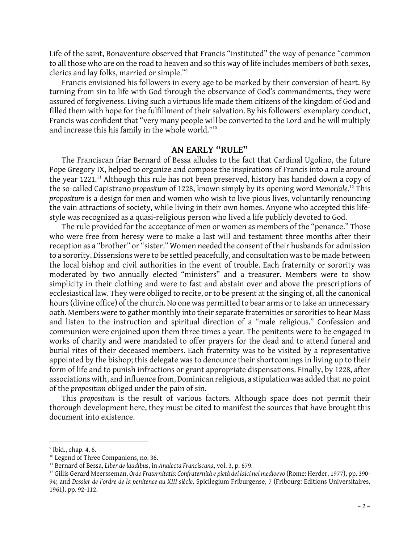Life of the saint, Bonaventure observed that Francis "instituted" the way of penance "common to all those who are on the road to heaven and so this way of life includes members of both sexes, clerics and lay folks, married or simple."<sup>9</sup>

Francis envisioned his followers in every age to be marked by their conversion of heart. By turning from sin to life with God through the observance of God's commandments, they were Francis envisioned his followers in every age to be marked by their conversion of heart. By<br>turning from sin to life with God through the observance of God's commandments, they were<br>assured of forgiveness. Living such a vi filled them with hope for the fulfillment of their salvation. By his followers' exemplary conduct, Francis was confident that "very many people will be converted to the Lord and he will multiply filled them with hope for the fulfillment of their salv<br>Francis was confident that "very many people will b<br>and increase this his family in the whole world."<sup>10</sup>

## **AN EARLY "RULE"**

The Franciscan friar Bernard of Bessa alludes to the fact that Cardinal Ugolino, the future Pope Gregory IX, helped to organize and compose the inspirations of Francis into a rule around the year 1221.<sup>11</sup> Although this rule has not been preserved, history has handed down a copy of the so-called Capistrano *propositum* of 1228, known simply by its opening word *Memoriale*.<sup>12</sup> This *propositum* is a design for men and women who wish to live pious lives, voluntarily renouncing the vain attractions of society, while living in their own homes. Anyone who accepted this lifestyle was recognized as a quasi-religious person who lived a life publicly devoted to God.

The rule provided for the acceptance of men or women as members of the "penance." Those who were free from heresy were to make a last will and testament three months after their reception as a "brother" or "sister." Women needed the consent of their husbands for admission<br>to a sorority. Dissensions were to be settled peacefully, and consultation was to be made between<br>the local bishop and civil au to a sorority. Dissensions were to be settled peacefully, and consultation was to be made between moderated by two annually elected "ministers" and a treasurer. Members were to show simplicity in their clothing and were to fast and abstain over and above the prescriptions of ecclesiastical law. They were obliged to recite, or to be present at the singing of, all the canonical<br>hours (divine office) of the church. No one was permitted to bear arms or to take an unnecessary<br>oath. Members were to hours (divine office) of the church. No one was permitted to bear arms or to take an unnecessary hours (divine office) of the church. No one was permitted to bear arms or to take an unnecessary<br>oath. Members were to gather monthly into their separate fraternities or sororities to hear Mass<br>and listen to the instructio communion were enjoined upon them three times a year. The penitents were to be engaged in and listen to the instruction and spiritual direction of a "male religious." Confession and<br>communion were enjoined upon them three times a year. The penitents were to be engaged in<br>works of charity and were mandated to of burial rites of their deceased members. Each fraternity was to be visited by a representative appointed by the bishop; this delegate was to denounce their shortcomings in living up to their burial rites of their deceased members. Each fraternity was to be visited by a representative<br>appointed by the bishop; this delegate was to denounce their shortcomings in living up to their<br>form of life and to punish infra associations with, and influence from, Dominican religious, a stipulation was added that no point of the *propositum* obliged under the pain of sin.

This *propositum* is the result of various factors. Although space does not permit their thorough development here, they must be cited to manifest the sources that have brought this document into existence.

<sup>9</sup> Ibid., chap. 4, 6.

<sup>&</sup>lt;sup>10</sup> Legend of Three Companions, no. 36.

<sup>11</sup> Bernard of Bessa, *Liber de laudibus*, in *Analecta Franciscana*, vol. 3, p. 679.

 $-2-$ <sup>10</sup> Legend of Three Companions, no. 36.<br><sup>11</sup> Bernard of Bessa, *Liber de laudibus, in Analecta Franciscana,* vol. 3, p. 679.<br><sup>12</sup> Gillis Gerard Meersseman, Ordo Fraternitatis: Confraternità e pietà dei laici nel medioevo 94; and *Dossier de l'ordre de la penitence au XIII siècle*, Spicilegium Friburgense, 7 (Fribourg: Editions Universitaires, <sup>12</sup> Gillis Gerard Meers<br>94; and *Dossier de l'o*1<br>1961), pp. 92-112.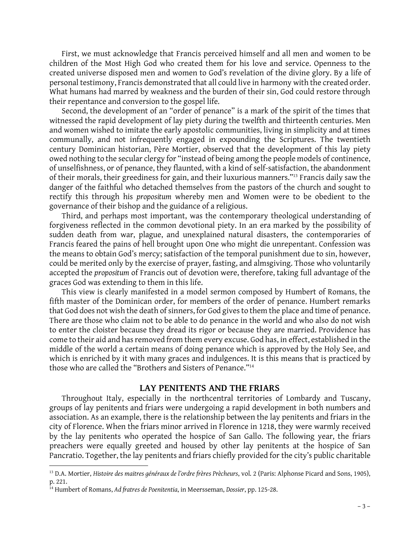First, we must acknowledge that Francis perceived himself and all men and women to be First, we must acknowledge that Francis perceived himself and all men and women to be<br>children of the Most High God who created them for his love and service. Openness to the<br>created universe disposed men and women to God' First, we must acknowledge that Francis perceived himself and all men and women to be children of the Most High God who created them for his love and service. Openness to the created universe disposed men and women to God' personal testimony, Francis demonstrated that all could live in harmony with the created order. What humans had marred by weakness and the burden of their sin, God could restore through their repentance and conversion to the gospel life.

Second, the development of an "order of penance" is a mark of the spirit of the times that witnessed the rapid development of lay piety during the twelfth and thirteenth centuries. Men and women wished to imitate the early apostolic communities, living in simplicity and at times communally, and not infrequently engaged in expounding the Scriptures. The twentieth century Dominican historian, Père Mortier, observed that the development of this lay piety owed nothing to the secular clergy for "instead of being among the people models of continence, century Dominican historian, Père Mortier, observed that the development of this lay piety<br>owed nothing to the secular clergy for "instead of being among the people models of continence,<br>of unselfishness, or of penance, th of unselfishness, or of penance, they flaunted, with a kind of self-satisfaction, the abandonment<br>of their morals, their greediness for gain, and their luxurious manners."<sup>13</sup> Francis daily saw the danger of the faithful who detached themselves from the pastors of the church and sought to rectify this through his *propositum* whereby men and Women were to be obedient to the governance of their bishop and the guidance of a religious.

Third, and perhaps most important, was the contemporary theological understanding of governance of their bishop and the guidance of a religious.<br>Third, and perhaps most important, was the contemporary theological understanding of<br>forgiveness reflected in the common devotional piety. In an era marked by the sudden death from war, plague, and unexplained natural disasters, the contemporaries of forgiveness reflected in the common devotional piety. In an era marked by the possibility of<br>sudden death from war, plague, and unexplained natural disasters, the contemporaries of<br>Francis feared the pains of hell brought the means to obtain God's mercy; satisfaction of the temporal punishment due to sin, however, could be merited only by the exercise of prayer, fasting, and almsgiving. Those who voluntarily accepted the *propositum* of Francis out of devotion were, therefore, taking full advantage of the graces God was extending to them in this life.

This view is clearly manifested in a model sermon composed by Humbert of Romans, the fifth master of the Dominican order, for members of the order of penance. Humbert remarks that God does not wish the death of sinners, for God gives to them the place and time of penance. There are those who claim not to be able to do penance in the world and who also do not wish to enter the cloister because they dread its rigor or because they are married. Providence has come to their aid and has removed from them every excuse. God has, in effect, established in the middle of the world a certain means of doing penance which is approved by the Holy See, and which is enriched by it with many graces and indulgences. It is this means that is practiced by those who are called the "Brothers and Sisters of Penance."<sup>14</sup>

#### **LAY PENITENTS AND THE FRIARS**

Throughout Italy, especially in the northcentral territories of Lombardy and Tuscany, groups of lay penitents and friars were undergoing a rapid development in both numbers and association. As an example, there is the relationship between the lay penitents and friars in the city of Florence. When the friars minor arrived in Florence in 1218, they were warmly received by the lay penitents who operated the hospice of San Gallo. The following year, the friars preachers were equally greeted and housed by other lay penitents at the hospice of San by the lay penitents who operated the hospice of San Gallo. The following year, the friars<br>preachers were equally greeted and housed by other lay penitents at the hospice of San<br>Pancratio. Together, the lay penitents and f

<sup>13</sup> D.A. Mortier, *Histoire des maitres généraux de l'ordre frères Prècheurs*, vol. 2 (Paris: Alphonse Picard and Sons, 1905), p. 221.

<sup>14</sup> Humbert of Romans, *Ad fratres de Poenitentia*, in Meersseman, *Dossier*, pp. 125-28.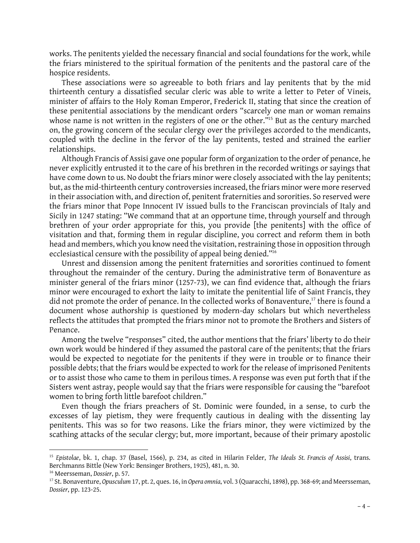works. The penitents yielded the necessary financial and social foundations for the work, while the friars ministered to the spiritual formation of the penitents and the pastoral care of the hospice residents.

These associations were so agreeable to both friars and lay penitents that by the mid thirteenth century a dissatisfied secular cleric was able to write a letter to Peter of Vineis, minister of affairs to the Holy Roman Emperor, Frederick II, stating that since the creation of these penitential associations by the mendicant orders "scarcely one man or woman remains whose name is not written in the registers of one or the other."<sup>15</sup> But as the century marched on, the growing concern of the secular clergy over the privileges accorded to the mendicants, coupled with the decline in the fervor of the lay penitents, tested and strained the earlier relationships.

Although Francis of Assisi gave one popular form of organization to the order of penance, he never explicitly entrusted it to the care of his brethren in the recorded writings or sayings that have come down to us. No doubt the friars minor were closely associated with the lay penitents; but, as the mid-thirteenth century controversies increased, the friars minor were more reserved<br>in their association with, and direction of, penitent fraternities and sororities. So reserved were<br>the friars minor that Pope in their association with, and direction of, penitent fraternities and sororities. So reserved were the friars minor that Pope Innocent IV issued bulls to the Franciscan provincials of Italy and<br>Sicily in 1247 stating: "We command that at an opportune time, through yourself and through brethren of your order appropriate for this, you provide [the penitents] with the office of visitation and that, forming them in regular discipline, you correct and reform them in both head and members, which you know need the visitation, restraining those in opposition through ecclesiastical censure with the possibility of appeal being denied."<sup>16</sup>

Unrest and dissension among the penitent fraternities and sororities continued to foment throughout the remainder of the century. During the administrative term of Bonaventure as minister general of the friars minor (1257-73), we can find evidence that, although the friars<br>minor were encouraged to exhort the laity to imitate the penitential life of Saint Francis, they<br>did not promote the order of p minor were encouraged to exhort the laity to imitate the penitential life of Saint Francis, they document whose authorship is questioned by modern-day scholars but which nevertheless reflects the attitudes that prompted the friars minor not to promote the Brothers and Sisters of Penance.

Among the twelve "responses" cited, the author mentions that the friars' liberty to do their own work would be hindered if they assumed the pastoral care of the penitents; that the friars would be expected to negotiate for the penitents if they were in trouble or to finance their possible debts; that the friars would be expected to work for the release of imprisoned Penitents or to assist those who came to them in perilous times. A response was even put forth that if the Sisters went astray, people would say that the friars were responsible for causing the "barefoot or to assist those who came to them in perilous tir<br>Sisters went astray, people would say that the fria<br>women to bring forth little barefoot children."<br>Even though the friars preachers of St. Dom

Even though the friars preachers of St. Dominic were founded, in a sense, to curb the excesses of lay pietism, they were frequently cautious in dealing with the dissenting lay Even though the friars preachers of St. Dominic were founded, in a sense, to curb the excesses of lay pietism, they were frequently cautious in dealing with the dissenting lay penitents. This was so for two reasons. Like t scathing attacks of the secular clergy; but, more important, because of their primary apostolic

<sup>15</sup> *Epistolae*, bk. 1, chap. 37 (Basel, 1566), p. 234, as cited in Hilarin Felder, *The Ideals St. Francis of Assisi*, trans. Berchmanns Bittle (New York: Bensinger Brothers, 1925), 481, n. 30. <sup>16</sup> Meersseman, *Dossier*, p. 57.

<sup>– 4 –</sup> <sup>17</sup> St. Bonaventure, *Opusculum* 17, pt. 2, ques. 16, in *Opera omnia*, vol. 3 (Quaracchi, 1898), pp. 368-69; and Meersseman, *Dossier*, pp. 123-25.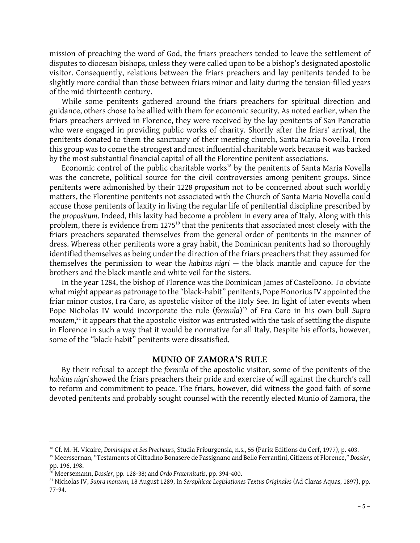mission of preaching the word of God, the friars preachers tended to leave the settlement of disputes to diocesan bishops, unless they were called upon to be a bishop's designated apostolic visitor. Consequently, relations between the friars preachers and lay penitents tended to be slightly more cordial than those between friars minor and laity during the tension-filled years of the mid-thirteenth century.

While some penitents gathered around the friars preachers for spiritual direction and guidance, others chose to be allied with them for economic security. As noted earlier, when the friars preachers arrived in Florence, they were received by the lay penitents of San Pancratio who were engaged in providing public works of charity. Shortly after the friars' arrival, the penitents donated to them the sanctuary of their meeting church, Santa Maria Novella. From who were engaged in providing public works of charity. Shortly after the friars' arrival, the penitents donated to them the sanctuary of their meeting church, Santa Maria Novella. From this group was to come the strongest by the most substantial financial capital of all the Florentine penitent associations.

Economic control of the public charitable works<sup>18</sup> by the penitents of Santa Maria Novella was the concrete, political source for the civil controversies among penitent groups. Since Economic control of the public charitable works<sup>18</sup> by the penitents of Santa Maria Novella<br>was the concrete, political source for the civil controversies among penitent groups. Since<br>penitents were admonished by their 122 matters, the Florentine penitents not associated with the Church of Santa Maria Novella could penitents were admonished by their 1228 *propositum* not to be concerned about such worldly matters, the Florentine penitents not associated with the Church of Santa Maria Novella could accuse those penitents of laxity in the *propositum*. Indeed, this laxity had become a problem in every area of Italy. Along with this problem, there is evidence from 1275<sup>19</sup> that the penitents that associated most closely with the friars preachers separated themselves from the general order of penitents in the manner of dress. Whereas other penitents wore a gray habit, the Dominican penitents had so thoroughly friars preachers separated themselves from the general order of penitents in the manner of<br>dress. Whereas other penitents wore a gray habit, the Dominican penitents had so thoroughly<br>identified themselves as being under th dress. Whereas other penitents wore a gray habit, the Dominican penitents had so thoroughly identified themselves as being under the direction of the friars preachers that they assumed for themselves the permission to wear brothers and the black mantle and white veil for the sisters.

In the year 1284, the bishop of Florence was the Dominican James of Castelbono. To obviate what might appear as patronage to the "black-habit" penitents, Pope Honorius IV appointed the friar minor custos, Fra Caro, as apostolic visitor of the Holy See. In light of later events when Pope Nicholas IV would incorporate the rule (*formula*) <sup>20</sup> of Fra Caro in his own bull *Supra*  friar minor custos, Fra Caro, as apostolic visitor of the Holy See. In light of later events when<br>Pope Nicholas IV would incorporate the rule (formula)<sup>20</sup> of Fra Caro in his own bull *Supra*<br>montem,<sup>21</sup> it appears that th Pope Nicholas IV would incorporate the rule (formula)<sup>20</sup> of Fra Caro in his own bull Supra<br>montem,<sup>21</sup> it appears that the apostolic visitor was entrusted with the task of settling the dispute<br>in Florence in such a way th some of the "black-habit" penitents were dissatisfied.

## **MUNIO OF ZAMORA'S RULE**

By their refusal to accept the *formula* of the apostolic visitor, some of the penitents of the *habitus nigri*showed the friars preachers their pride and exercise of will against the church's call to reform and commitment to peace. The friars, however, did witness the good faith of some devoted penitents and probably sought counsel with the recently elected Munio of Zamora, the

<sup>18</sup> Cf. M.-H. Vicaire, *Dominique et Ses Precheurs*, Studia Friburgensia, n.s., 55 (Paris: Editions du Cerf, 1977), p. 403.

<sup>19</sup> Meerssernan, "Testaments of Cittadino Bonasere de Passignano and Bello Ferrantini, Citizens of Florence," *Dossier*, pp. 196, 198.

<sup>20</sup> Meersemann, *Dossier*, pp. 128-38; and *Ordo Fraternitatis*, pp. 394-400.

<sup>21</sup> Nicholas IV, *Supra montem*, 18 August 1289, in *Seraphicae Legislationes Textus Originales* (Ad Claras Aquas, 1897), pp. 77-94.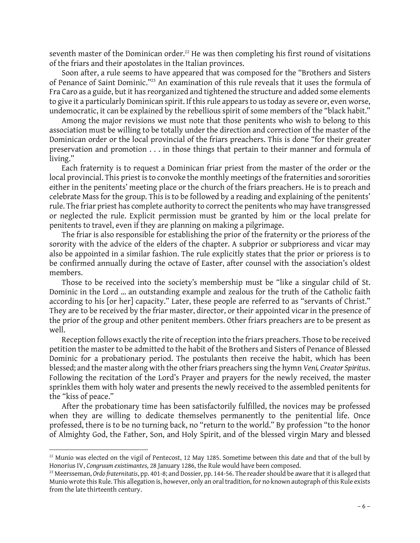seventh master of the Dominican order.<sup>22</sup> He was then completing his first round of visitations of the friars and their apostolates in the Italian provinces.

Soon after, a rule seems to have appeared that was composed for the "Brothers and Sisters of Penance of Saint Dominic."<sup>23</sup> An examination of this rule reveals that it uses the formula of Fra Caro as a guide, but it has reorganized and tightened the structure and added some elements to give it a particularly Dominican spirit. If this rule appears to us today as severe or, even worse, undemocratic, it can be explained by the rebellious spirit of some members of the "black habit."

Among the major revisions we must note that those penitents who wish to belong to this association must be willing to be totally under the direction and correction of the master of the Dominican order or the local provincial of the friars preachers. This is done "for their greater preservation and promotion . . . in those things that pertain to their manner and formula of<br>living."<br>Each fraternity is to request a Dominican friar priest from the master of the order or the<br>local provincial. This priest living."

local provincial. This priest is to convoke the monthly meetings of the fraternities and sororities either in the penitents' meeting place or the church of the friars preachers. He is to preach and local provincial. This priest is to convoke the monthly meetings of the fraternities and sororities<br>either in the penitents' meeting place or the church of the friars preachers. He is to preach and<br>celebrate Mass for the g rule. The friar priest has complete authority to correct the penitents who may have transgressed or neglected the rule. Explicit permission must be granted by him or the local prelate for penitents to travel, even if they are planning on making a pilgrimage.

The friar is also responsible for establishing the prior of the fraternity or the prioress of the sorority with the advice of the elders of the chapter. A subprior or subprioress and vicar may The friar is also responsible for establishing the prior of the fraternity or the prioress of the sorority with the advice of the elders of the chapter. A subprior or subprioress and vicar may also be appointed in a simila be confirmed annually during the octave of Easter, after counsel with the association's oldest members.

Those to be received into the society's membership must be "like a singular child of St. Dominic in the Lord … an outstanding example and zealous for the truth of the Catholic faith according to his [or her] capacity." Later, these people are referred to as "servants of Christ." They are to be received by the friar master, director, or their appointed vicar in the presence of the prior of the group and other penitent members. Other friars preachers are to be present as well.

Reception follows exactly the rite of reception into the friars preachers. Those to be received petition the master to be admitted to the habit of the Brothers and Sisters of Penance of Blessed Dominic for a probationary period. The postulants then receive the habit, which has been<br>blessed; and the master along with the other friars preachers sing the hymn V*eni, Creator Spiritus.*<br>Following the recitation of the sprinkles them with holy water and presents the newly received to the assembled penitents for the "kiss of peace."

After the probationary time has been satisfactorily fulfilled, the novices may be professed the "kiss of peace."<br>After the probationary time has been satisfactorily fulfilled, the novices may be professed<br>when they are willing to dedicate themselves permanently to the penitential life. Once<br>professed there is to After the probationary time has been satisfactorily fulfilled, the novices may be professed<br>when they are willing to dedicate themselves permanently to the penitential life. Once<br>professed, there is to be no turning back, of Almighty God, the Father, Son, and Holy Spirit, and of the blessed virgin Mary and blessed

 $22$  Munio was elected on the vigil of Pentecost, 12 May 1285. Sometime between this date and that of the bull by Honorius IV, *Congruum existimantes*, 28 January 1286, the Rule would have been composed.

 $-6 -$ <sup>23</sup> Meersseman, *Ordo fraternitatis*, pp. 401-8; and Dossier, pp. 144-56. The reader should be aware that it is alleged that Munio wrote this Rule. This allegation is, however, only an oral tradition, for no known autograph of this Rule exists from the late thirteenth century.